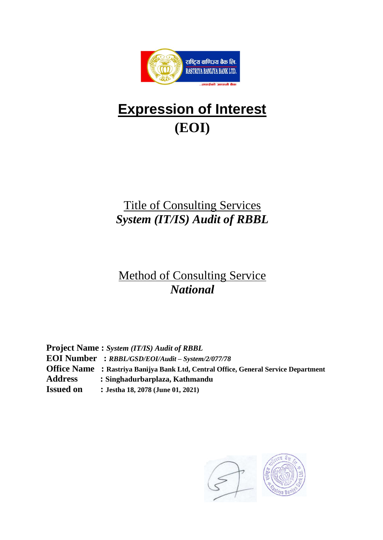

# **Expression of Interest (EOI)**

# Title of Consulting Services *System (IT/IS) Audit of RBBL*

# Method of Consulting Service *National*

**Project Name :** *System (IT/IS) Audit of RBBL* **EOI Number :** *RBBL/GSD/EOI/Audit – System/2/077/78* **Office Name : Rastriya Banijya Bank Ltd, Central Office, General Service Department Address : Singhadurbarplaza, Kathmandu Issued on : Jestha 18, 2078 (June 01, 2021)**

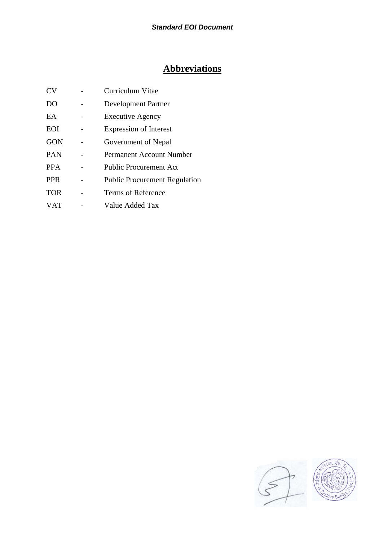## **Abbreviations**

| CV             | Curriculum Vitae                     |
|----------------|--------------------------------------|
| D <sub>O</sub> | <b>Development Partner</b>           |
| EA.            | <b>Executive Agency</b>              |
| <b>EOI</b>     | <b>Expression of Interest</b>        |
| <b>GON</b>     | Government of Nepal                  |
| <b>PAN</b>     | Permanent Account Number             |
| <b>PPA</b>     | <b>Public Procurement Act</b>        |
| <b>PPR</b>     | <b>Public Procurement Regulation</b> |
| <b>TOR</b>     | Terms of Reference                   |
| <b>VAT</b>     | Value Added Tax                      |
|                |                                      |

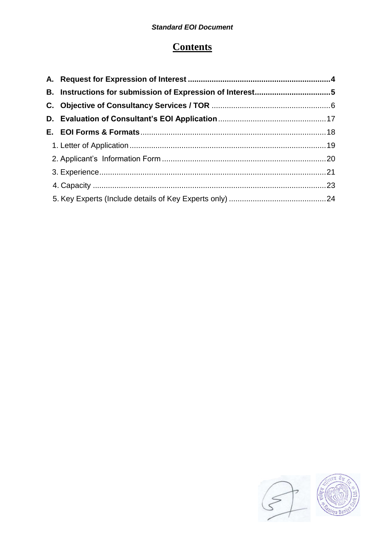# **Contents**

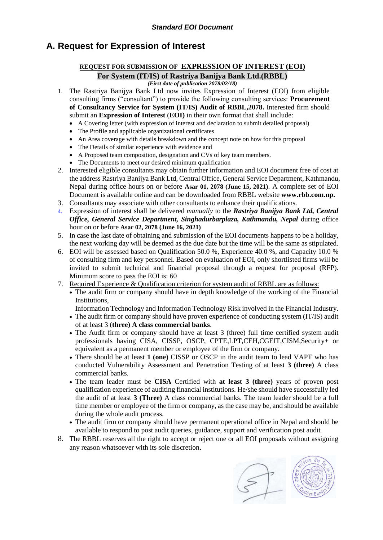## <span id="page-3-0"></span>**A. Request for Expression of Interest**

# **REQUEST FOR SUBMISSION OF EXPRESSION OF INTEREST (EOI)**

**For System (IT/IS) of Rastriya Banijya Bank Ltd.(RBBL)** *(First date of publication 2078/02/18)*

- 1. The Rastriya Banijya Bank Ltd now invites Expression of Interest (EOI) from eligible consulting firms ("consultant") to provide the following consulting services: **Procurement of Consultancy Service for System (IT/IS) Audit of RBBL,2078.** Interested firm should submit an **Expression of Interest** (**EOI)** in their own format that shall include:
	- A Covering letter (with expression of interest and declaration to submit detailed proposal)
	- The Profile and applicable organizational certificates
	- An Area coverage with details breakdown and the concept note on how for this proposal
	- The Details of similar experience with evidence and
	- A Proposed team composition, designation and CVs of key team members.
	- The Documents to meet our desired minimum qualification
- 2. Interested eligible consultants may obtain further information and EOI document free of cost at the address Rastriya Banijya Bank Ltd, Central Office, General Service Department, Kathmandu, Nepal during office hours on or before **Asar 01, 2078 (June 15, 2021)**. A complete set of EOI Document is available online and can be downloaded from RBBL website **www.rbb.com.np.**
- 3. Consultants may associate with other consultants to enhance their qualifications.
- 4. Expression of interest shall be delivered *manually* to the *Rastriya Banijya Bank Ltd, Central Office, General Service Department, Singhadurbarplaza, Kathmandu, Nepal* during office hour on or before **Asar 02, 2078 (June 16, 2021)**
- 5. In case the last date of obtaining and submission of the EOI documents happens to be a holiday, the next working day will be deemed as the due date but the time will be the same as stipulated.
- 6. EOI will be assessed based on Qualification 50.0 %, Experience 40.0 %, and Capacity 10.0 % of consulting firm and key personnel. Based on evaluation of EOI, only shortlisted firms will be invited to submit technical and financial proposal through a request for proposal (RFP). Minimum score to pass the EOI is: 60
- 7. Required Experience & Qualification criterion for system audit of RBBL are as follows:
	- The audit firm or company should have in depth knowledge of the working of the Financial Institutions,

Information Technology and Information Technology Risk involved in the Financial Industry.

- The audit firm or company should have proven experience of conducting system (IT/IS) audit of at least 3 (**three) A class commercial banks**.
- The Audit firm or company should have at least 3 (three) full time certified system audit professionals having CISA, CISSP, OSCP, CPTE,LPT,CEH,CGEIT,CISM,Security+ or equivalent as a permanent member or employee of the firm or company.
- There should be at least **1 (one)** CISSP or OSCP in the audit team to lead VAPT who has conducted Vulnerability Assessment and Penetration Testing of at least **3 (three)** A class commercial banks.
- The team leader must be **CISA** Certified with **at least 3 (three)** years of proven post qualification experience of auditing financial institutions. He/she should have successfully led the audit of at least **3 (Three)** A class commercial banks. The team leader should be a full time member or employee of the firm or company, as the case may be, and should be available during the whole audit process.
- The audit firm or company should have permanent operational office in Nepal and should be available to respond to post audit queries, guidance, support and verification post audit
- 8. The RBBL reserves all the right to accept or reject one or all EOI proposals without assigning any reason whatsoever with its sole discretion.

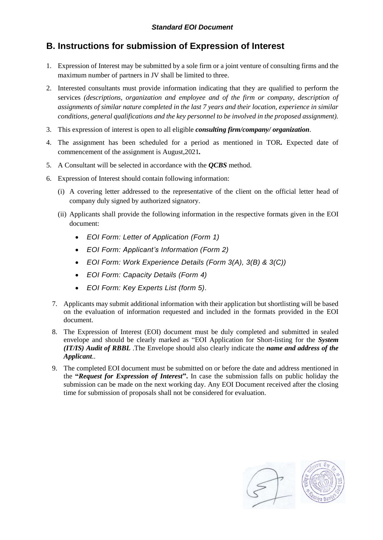## <span id="page-4-0"></span>**B. Instructions for submission of Expression of Interest**

- 1. Expression of Interest may be submitted by a sole firm or a joint venture of consulting firms and the maximum number of partners in JV shall be limited to three.
- 2. Interested consultants must provide information indicating that they are qualified to perform the services *(descriptions, organization and employee and of the firm or company, description of assignments of similar nature completed in the last 7 years and their location, experience in similar conditions, general qualifications and the key personnel to be involved in the proposed assignment).*
- 3. This expression of interest is open to all eligible *consulting firm/company/ organization*.
- 4. The assignment has been scheduled for a period as mentioned in TOR*.* Expected date of commencement of the assignment is August,2021*.*
- 5. A Consultant will be selected in accordance with the *QCBS* method.
- 6. Expression of Interest should contain following information:
	- (i) A covering letter addressed to the representative of the client on the official letter head of company duly signed by authorized signatory.
	- (ii) Applicants shall provide the following information in the respective formats given in the EOI document:
		- *EOI Form: Letter of Application (Form 1)*
		- *EOI Form: Applicant's Information (Form 2)*
		- *EOI Form: Work Experience Details (Form 3(A), 3(B) & 3(C))*
		- *EOI Form: Capacity Details (Form 4)*
		- *EOI Form: Key Experts List (form 5).*
	- 7. Applicants may submit additional information with their application but shortlisting will be based on the evaluation of information requested and included in the formats provided in the EOI document.
	- 8. The Expression of Interest (EOI) document must be duly completed and submitted in sealed envelope and should be clearly marked as "EOI Application for Short-listing for the *System (IT/IS) Audit of RBBL* .The Envelope should also clearly indicate the *name and address of the Applicant*..
	- 9. The completed EOI document must be submitted on or before the date and address mentioned in the **"***Request for Expression of Interest***".** In case the submission falls on public holiday the submission can be made on the next working day. Any EOI Document received after the closing time for submission of proposals shall not be considered for evaluation.

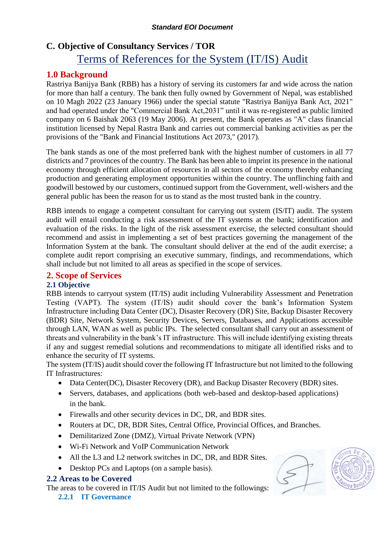## <span id="page-5-0"></span>**C. Objective of Consultancy Services / TOR**

# Terms of References for the System (IT/IS) Audit

## **1.0 Background**

Rastriya Banijya Bank (RBB) has a history of serving its customers far and wide across the nation for more than half a century. The bank then fully owned by Government of Nepal, was established on 10 Magh 2022 (23 January 1966) under the special statute "Rastriya Banijya Bank Act, 2021" and had operated under the "Commercial Bank Act,2031" until it was re-registered as public limited company on 6 Baishak 2063 (19 May 2006). At present, the Bank operates as "A" class financial institution licensed by Nepal Rastra Bank and carries out commercial banking activities as per the provisions of the "Bank and Financial Institutions Act 2073," (2017).

The bank stands as one of the most preferred bank with the highest number of customers in all 77 districts and 7 provinces of the country. The Bank has been able to imprint its presence in the national economy through efficient allocation of resources in all sectors of the economy thereby enhancing production and generating employment opportunities within the country. The unflinching faith and goodwill bestowed by our customers, continued support from the Government, well-wishers and the general public has been the reason for us to stand as the most trusted bank in the country.

RBB intends to engage a competent consultant for carrying out system (IS/IT) audit. The system audit will entail conducting a risk assessment of the IT systems at the bank; identification and evaluation of the risks. In the light of the risk assessment exercise, the selected consultant should recommend and assist in implementing a set of best practices governing the management of the Information System at the bank. The consultant should deliver at the end of the audit exercise; a complete audit report comprising an executive summary, findings, and recommendations, which shall include but not limited to all areas as specified in the scope of services.

## **2. Scope of Services**

## **2.1 Objective**

RBB intends to carryout system (IT/IS) audit including Vulnerability Assessment and Penetration Testing (VAPT). The system (IT/IS) audit should cover the bank's Information System Infrastructure including Data Center (DC), Disaster Recovery (DR) Site, Backup Disaster Recovery (BDR) Site, Network System, Security Devices, Servers, Databases, and Applications accessible through LAN, WAN as well as public IPs. The selected consultant shall carry out an assessment of threats and vulnerability in the bank's IT infrastructure. This will include identifying existing threats if any and suggest remedial solutions and recommendations to mitigate all identified risks and to enhance the security of IT systems.

The system (IT/IS) audit should cover the following IT Infrastructure but not limited to the following IT Infrastructures:

- Data Center(DC), Disaster Recovery (DR), and Backup Disaster Recovery (BDR) sites.
- Servers, databases, and applications (both web-based and desktop-based applications) in the bank.
- Firewalls and other security devices in DC, DR, and BDR sites.
- Routers at DC, DR, BDR Sites, Central Office, Provincial Offices, and Branches.
- Demilitarized Zone (DMZ), Virtual Private Network **(**VPN)
- Wi-Fi Network and VoIP Communication Network
- All the L3 and L2 network switches in DC, DR, and BDR Sites.
- Desktop PCs and Laptops (on a sample basis).

## **2.2 Areas to be Covered**

The areas to be covered in IT/IS Audit but not limited to the followings:

**2.2.1 IT Governance**

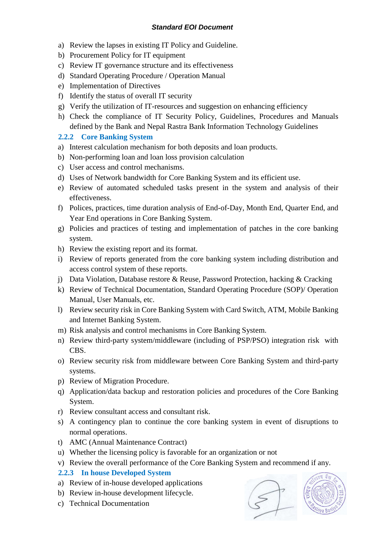- a) Review the lapses in existing IT Policy and Guideline.
- b) Procurement Policy for IT equipment
- c) Review IT governance structure and its effectiveness
- d) Standard Operating Procedure / Operation Manual
- e) Implementation of Directives
- f) Identify the status of overall IT security
- g) Verify the utilization of IT-resources and suggestion on enhancing efficiency
- h) Check the compliance of IT Security Policy, Guidelines, Procedures and Manuals defined by the Bank and Nepal Rastra Bank Information Technology Guidelines

## **2.2.2 Core Banking System**

- a) Interest calculation mechanism for both deposits and loan products.
- b) Non-performing loan and loan loss provision calculation
- c) User access and control mechanisms.
- d) Uses of Network bandwidth for Core Banking System and its efficient use.
- e) Review of automated scheduled tasks present in the system and analysis of their effectiveness.
- f) Polices, practices, time duration analysis of End-of-Day, Month End, Quarter End, and Year End operations in Core Banking System.
- g) Policies and practices of testing and implementation of patches in the core banking system.
- h) Review the existing report and its format.
- i) Review of reports generated from the core banking system including distribution and access control system of these reports.
- j) Data Violation, Database restore & Reuse, Password Protection, hacking & Cracking
- k) Review of Technical Documentation, Standard Operating Procedure (SOP)/ Operation Manual, User Manuals, etc.
- l) Review security risk in Core Banking System with Card Switch, ATM, Mobile Banking and Internet Banking System.
- m) Risk analysis and control mechanisms in Core Banking System.
- n) Review third-party system/middleware (including of PSP/PSO) integration risk with CBS.
- o) Review security risk from middleware between Core Banking System and third-party systems.
- p) Review of Migration Procedure.
- q) Application/data backup and restoration policies and procedures of the Core Banking System.
- r) Review consultant access and consultant risk.
- s) A contingency plan to continue the core banking system in event of disruptions to normal operations.
- t) AMC (Annual Maintenance Contract)
- u) Whether the licensing policy is favorable for an organization or not
- v) Review the overall performance of the Core Banking System and recommend if any.

## **2.2.3 In house Developed System**

- a) Review of in-house developed applications
- b) Review in-house development lifecycle.
- c) Technical Documentation



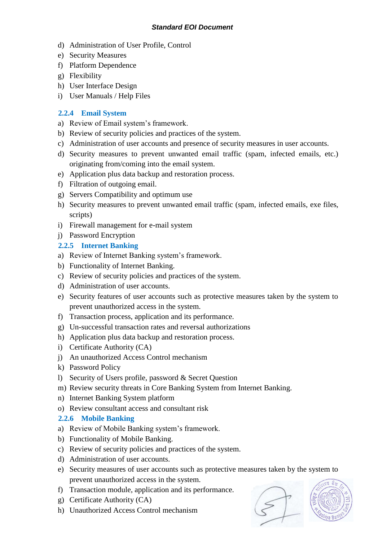- d) Administration of User Profile, Control
- e) Security Measures
- f) Platform Dependence
- g) Flexibility
- h) User Interface Design
- i) User Manuals / Help Files

## **2.2.4 Email System**

- a) Review of Email system's framework.
- b) Review of security policies and practices of the system.
- c) Administration of user accounts and presence of security measures in user accounts.
- d) Security measures to prevent unwanted email traffic (spam, infected emails, etc.) originating from/coming into the email system.
- e) Application plus data backup and restoration process.
- f) Filtration of outgoing email.
- g) Servers Compatibility and optimum use
- h) Security measures to prevent unwanted email traffic (spam, infected emails, exe files, scripts)
- i) Firewall management for e-mail system
- j) Password Encryption

## **2.2.5 Internet Banking**

- a) Review of Internet Banking system's framework.
- b) Functionality of Internet Banking.
- c) Review of security policies and practices of the system.
- d) Administration of user accounts.
- e) Security features of user accounts such as protective measures taken by the system to prevent unauthorized access in the system.
- f) Transaction process, application and its performance.
- g) Un-successful transaction rates and reversal authorizations
- h) Application plus data backup and restoration process.
- i) Certificate Authority (CA)
- j) An unauthorized Access Control mechanism
- k) Password Policy
- l) Security of Users profile, password & Secret Question
- m) Review security threats in Core Banking System from Internet Banking.
- n) Internet Banking System platform
- o) Review consultant access and consultant risk

## **2.2.6 Mobile Banking**

- a) Review of Mobile Banking system's framework.
- b) Functionality of Mobile Banking.
- c) Review of security policies and practices of the system.
- d) Administration of user accounts.
- e) Security measures of user accounts such as protective measures taken by the system to prevent unauthorized access in the system.
- f) Transaction module, application and its performance.
- g) Certificate Authority (CA)
- h) Unauthorized Access Control mechanism



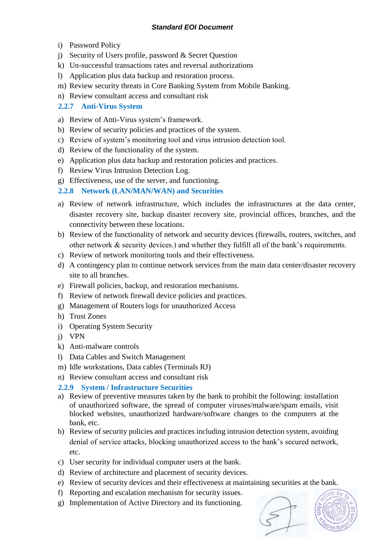- i) Password Policy
- j) Security of Users profile, password & Secret Question
- k) Un-successful transactions rates and reversal authorizations
- l) Application plus data backup and restoration process.
- m) Review security threats in Core Banking System from Mobile Banking.
- n) Review consultant access and consultant risk

## **2.2.7 Anti-Virus System**

- a) Review of Anti-Virus system's framework.
- b) Review of security policies and practices of the system.
- c) Review of system's monitoring tool and virus intrusion detection tool.
- d) Review of the functionality of the system.
- e) Application plus data backup and restoration policies and practices.
- f) Review Virus Intrusion Detection Log.
- g) Effectiveness, use of the server, and functioning.

## **2.2.8 Network (LAN/MAN/WAN) and Securities**

- a) Review of network infrastructure, which includes the infrastructures at the data center, disaster recovery site, backup disaster recovery site, provincial offices, branches, and the connectivity between these locations.
- b) Review of the functionality of network and security devices (firewalls, routers, switches, and other network & security devices.) and whether they fulfill all of the bank's requirements.
- c) Review of network monitoring tools and their effectiveness.
- d) A contingency plan to continue network services from the main data center/disaster recovery site to all branches.
- e) Firewall policies, backup, and restoration mechanisms.
- f) Review of network firewall device policies and practices.
- g) Management of Routers logs for unauthorized Access
- h) Trust Zones
- i) Operating System Security
- j) VPN
- k) Anti-malware controls
- l) Data Cables and Switch Management
- m) Idle workstations, Data cables (Terminals RJ)
- n) Review consultant access and consultant risk

## **2.2.9 System / Infrastructure Securities**

- a) Review of preventive measures taken by the bank to prohibit the following: installation of unauthorized software, the spread of computer viruses/malware/spam emails, visit blocked websites, unauthorized hardware/software changes to the computers at the bank, etc.
- b) Review of security policies and practices including intrusion detection system, avoiding denial of service attacks, blocking unauthorized access to the bank's secured network, etc.
- c) User security for individual computer users at the bank.
- d) Review of architecture and placement of security devices.
- e) Review of security devices and their effectiveness at maintaining securities at the bank.
- f) Reporting and escalation mechanism for security issues.
- g) Implementation of Active Directory and its functioning.

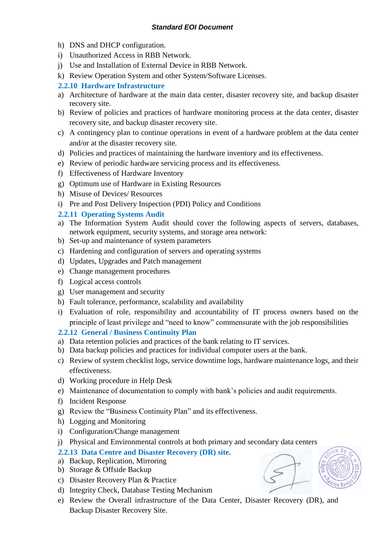- h) DNS and DHCP configuration.
- i) Unauthorized Access in RBB Network.
- j) Use and Installation of External Device in RBB Network.
- k) Review Operation System and other System/Software Licenses.

#### **2.2.10 Hardware Infrastructure**

- a) Architecture of hardware at the main data center, disaster recovery site, and backup disaster recovery site.
- b) Review of policies and practices of hardware monitoring process at the data center, disaster recovery site, and backup disaster recovery site.
- c) A contingency plan to continue operations in event of a hardware problem at the data center and/or at the disaster recovery site.
- d) Policies and practices of maintaining the hardware inventory and its effectiveness.
- e) Review of periodic hardware servicing process and its effectiveness.
- f) Effectiveness of Hardware Inventory
- g) Optimum use of Hardware in Existing Resources
- h) Misuse of Devices/ Resources
- i) Pre and Post Delivery Inspection (PDI) Policy and Conditions

## **2.2.11 Operating Systems Audit**

- a) The Information System Audit should cover the following aspects of servers, databases, network equipment, security systems, and storage area network:
- b) Set-up and maintenance of system parameters
- c) Hardening and configuration of servers and operating systems
- d) Updates, Upgrades and Patch management
- e) Change management procedures
- f) Logical access controls
- g) User management and security
- h) Fault tolerance, performance, scalability and availability
- i) Evaluation of role, responsibility and accountability of IT process owners based on the principle of least privilege and "need to know" commensurate with the job responsibilities

## **2.2.12 General / Business Continuity Plan**

- a) Data retention policies and practices of the bank relating to IT services.
- b) Data backup policies and practices for individual computer users at the bank.
- c) Review of system checklist logs, service downtime logs, hardware maintenance logs, and their effectiveness.
- d) Working procedure in Help Desk
- e) Maintenance of documentation to comply with bank's policies and audit requirements.
- f) Incident Response
- g) Review the "Business Continuity Plan" and its effectiveness.
- h) Logging and Monitoring
- i) Configuration/Change management
- j) Physical and Environmental controls at both primary and secondary data centers

#### **2.2.13 Data Centre and Disaster Recovery (DR) site.**

- a) Backup, Replication, Mirroring
- b) Storage & Offside Backup
- c) Disaster Recovery Plan & Practice
- d) Integrity Check, Database Testing Mechanism
- e) Review the Overall infrastructure of the Data Center, Disaster Recovery (DR), and Backup Disaster Recovery Site.

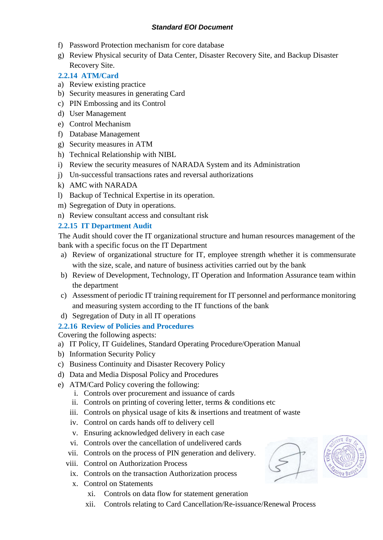- f) Password Protection mechanism for core database
- g) Review Physical security of Data Center, Disaster Recovery Site, and Backup Disaster Recovery Site.

## **2.2.14 ATM/Card**

- a) Review existing practice
- b) Security measures in generating Card
- c) PIN Embossing and its Control
- d) User Management
- e) Control Mechanism
- f) Database Management
- g) Security measures in ATM
- h) Technical Relationship with NIBL
- i) Review the security measures of NARADA System and its Administration
- j) Un-successful transactions rates and reversal authorizations
- k) AMC with NARADA
- l) Backup of Technical Expertise in its operation.
- m) Segregation of Duty in operations.
- n) Review consultant access and consultant risk

## **2.2.15 IT Department Audit**

The Audit should cover the IT organizational structure and human resources management of the bank with a specific focus on the IT Department

- a) Review of organizational structure for IT, employee strength whether it is commensurate with the size, scale, and nature of business activities carried out by the bank
- b) Review of Development, Technology, IT Operation and Information Assurance team within the department
- c) Assessment of periodic IT training requirement for IT personnel and performance monitoring and measuring system according to the IT functions of the bank
- d) Segregation of Duty in all IT operations

## **2.2.16 Review of Policies and Procedures**

Covering the following aspects:

- a) IT Policy, IT Guidelines, Standard Operating Procedure/Operation Manual
- b) Information Security Policy
- c) Business Continuity and Disaster Recovery Policy
- d) Data and Media Disposal Policy and Procedures
- e) ATM/Card Policy covering the following:
	- i. Controls over procurement and issuance of cards
	- ii. Controls on printing of covering letter, terms & conditions etc
	- iii. Controls on physical usage of kits & insertions and treatment of waste
	- iv. Control on cards hands off to delivery cell
	- v. Ensuring acknowledged delivery in each case
	- vi. Controls over the cancellation of undelivered cards
	- vii. Controls on the process of PIN generation and delivery.
	- viii. Control on Authorization Process
		- ix. Controls on the transaction Authorization process
		- x. Control on Statements
			- xi. Controls on data flow for statement generation
			- xii. Controls relating to Card Cancellation/Re-issuance/Renewal Process

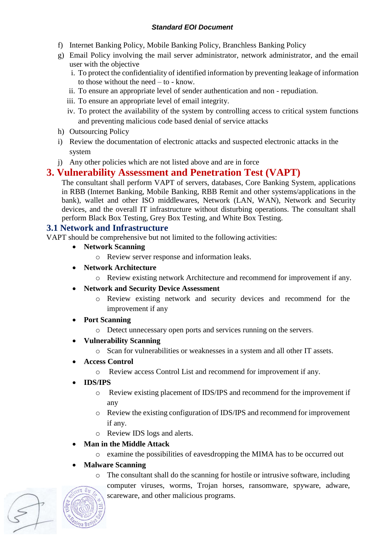- f) Internet Banking Policy, Mobile Banking Policy, Branchless Banking Policy
- g) Email Policy involving the mail server administrator, network administrator, and the email user with the objective
	- i. To protect the confidentiality of identified information by preventing leakage of information to those without the need – to - know.
	- ii. To ensure an appropriate level of sender authentication and non repudiation.
	- iii. To ensure an appropriate level of email integrity.
	- iv. To protect the availability of the system by controlling access to critical system functions and preventing malicious code based denial of service attacks
- h) Outsourcing Policy
- i) Review the documentation of electronic attacks and suspected electronic attacks in the system
- j) Any other policies which are not listed above and are in force

## **3. Vulnerability Assessment and Penetration Test (VAPT)**

The consultant shall perform VAPT of servers, databases, Core Banking System, applications in RBB (Internet Banking, Mobile Banking, RBB Remit and other systems/applications in the bank), wallet and other ISO middlewares, Network (LAN, WAN), Network and Security devices, and the overall IT infrastructure without disturbing operations. The consultant shall perform Black Box Testing, Grey Box Testing, and White Box Testing.

## **3.1 Network and Infrastructure**

VAPT should be comprehensive but not limited to the following activities:

- **Network Scanning** 
	- o Review server response and information leaks.
- **Network Architecture**
	- o Review existing network Architecture and recommend for improvement if any.
- **Network and Security Device Assessment**
	- o Review existing network and security devices and recommend for the improvement if any
- **Port Scanning** 
	- o Detect unnecessary open ports and services running on the servers.
- **Vulnerability Scanning**
	- o Scan for vulnerabilities or weaknesses in a system and all other IT assets.
- **Access Control**
	- o Review access Control List and recommend for improvement if any.
- **IDS/IPS** 
	- o Review existing placement of IDS/IPS and recommend for the improvement if any
	- o Review the existing configuration of IDS/IPS and recommend for improvement if any.
	- o Review IDS logs and alerts.

## **Man in the Middle Attack**

- o examine the possibilities of eavesdropping the MIMA has to be occurred out
- **Malware Scanning**
	- $\circ$  The consultant shall do the scanning for hostile or intrusive software, including computer viruses, worms, Trojan horses, ransomware, spyware, adware, scareware, and other malicious programs.

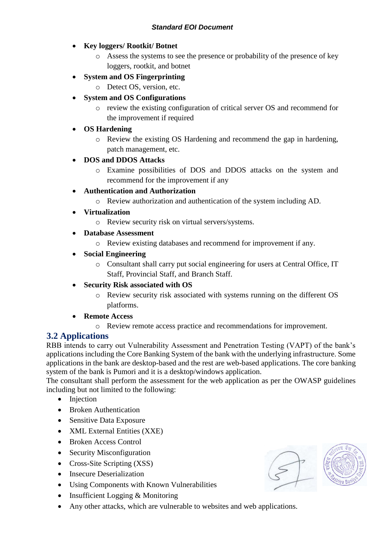- **Key loggers/ Rootkit/ Botnet**
	- o Assess the systems to see the presence or probability of the presence of key loggers, rootkit, and botnet
- **System and OS Fingerprinting** 
	- o Detect OS, version, etc.
- **System and OS Configurations**
	- o review the existing configuration of critical server OS and recommend for the improvement if required
- **OS Hardening** 
	- o Review the existing OS Hardening and recommend the gap in hardening, patch management, etc.

## **DOS and DDOS Attacks**

- o Examine possibilities of DOS and DDOS attacks on the system and recommend for the improvement if any
- **Authentication and Authorization**
	- o Review authorization and authentication of the system including AD.
- **Virtualization** 
	- o Review security risk on virtual servers/systems.
- **Database Assessment**
	- o Review existing databases and recommend for improvement if any.
- **Social Engineering**
	- o Consultant shall carry put social engineering for users at Central Office, IT Staff, Provincial Staff, and Branch Staff.
- **Security Risk associated with OS**
	- o Review security risk associated with systems running on the different OS platforms.

## **Remote Access**

o Review remote access practice and recommendations for improvement.

## **3.2 Applications**

RBB intends to carry out Vulnerability Assessment and Penetration Testing (VAPT) of the bank's applications including the Core Banking System of the bank with the underlying infrastructure. Some applications in the bank are desktop-based and the rest are web-based applications. The core banking system of the bank is Pumori and it is a desktop/windows application.

The consultant shall perform the assessment for the web application as per the OWASP guidelines including but not limited to the following:

- Injection
- Broken Authentication
- Sensitive Data Exposure
- XML External Entities (XXE)
- Broken Access Control
- Security Misconfiguration
- Cross-Site Scripting (XSS)
- Insecure Deserialization
- Using Components with Known Vulnerabilities
- Insufficient Logging & Monitoring
- Any other attacks, which are vulnerable to websites and web applications.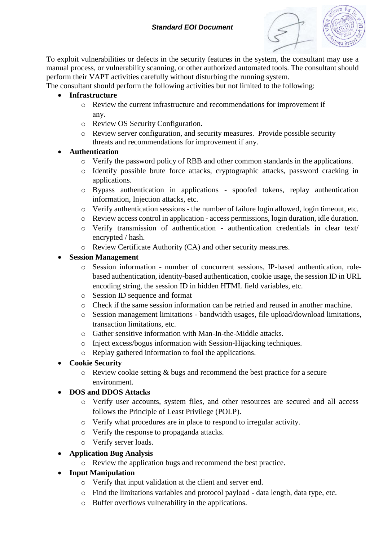

To exploit vulnerabilities or defects in the security features in the system, the consultant may use a manual process, or vulnerability scanning, or other authorized automated tools. The consultant should perform their VAPT activities carefully without disturbing the running system.

The consultant should perform the following activities but not limited to the following:

- **Infrastructure** 
	- o Review the current infrastructure and recommendations for improvement if any.
	- o Review OS Security Configuration.
	- o Review server configuration, and security measures. Provide possible security threats and recommendations for improvement if any.
- **Authentication**
	- o Verify the password policy of RBB and other common standards in the applications.
	- o Identify possible brute force attacks, cryptographic attacks, password cracking in applications.
	- o Bypass authentication in applications spoofed tokens, replay authentication information, Injection attacks, etc.
	- o Verify authentication sessions the number of failure login allowed, login timeout, etc.
	- o Review access control in application access permissions, login duration, idle duration.
	- o Verify transmission of authentication authentication credentials in clear text/ encrypted / hash.
	- o Review Certificate Authority (CA) and other security measures.

#### **Session Management**

- o Session information number of concurrent sessions, IP-based authentication, rolebased authentication, identity-based authentication, cookie usage, the session ID in URL encoding string, the session ID in hidden HTML field variables, etc.
- o Session ID sequence and format
- o Check if the same session information can be retried and reused in another machine.
- o Session management limitations bandwidth usages, file upload/download limitations, transaction limitations, etc.
- o Gather sensitive information with Man-In-the-Middle attacks.
- o Inject excess/bogus information with Session-Hijacking techniques.
- o Replay gathered information to fool the applications.

## **Cookie Security**

o Review cookie setting & bugs and recommend the best practice for a secure environment.

## **DOS and DDOS Attacks**

- o Verify user accounts, system files, and other resources are secured and all access follows the Principle of Least Privilege (POLP).
- o Verify what procedures are in place to respond to irregular activity.
- o Verify the response to propaganda attacks.
- o Verify server loads.

## **Application Bug Analysis**

o Review the application bugs and recommend the best practice.

## **Input Manipulation**

- o Verify that input validation at the client and server end.
- o Find the limitations variables and protocol payload data length, data type, etc.
- o Buffer overflows vulnerability in the applications.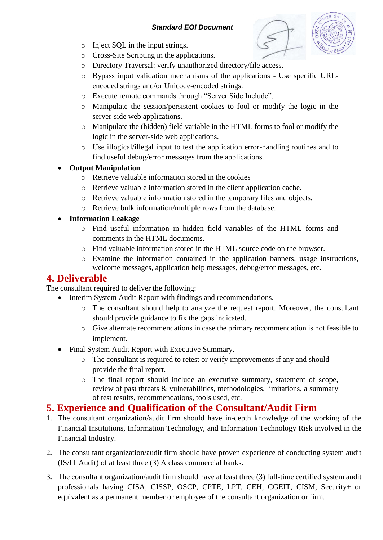- o Inject SQL in the input strings.
- o Cross-Site Scripting in the applications.
- o Directory Traversal: verify unauthorized directory/file access.
- o Bypass input validation mechanisms of the applications Use specific URLencoded strings and/or Unicode-encoded strings.
- o Execute remote commands through "Server Side Include".
- o Manipulate the session/persistent cookies to fool or modify the logic in the server-side web applications.
- o Manipulate the (hidden) field variable in the HTML forms to fool or modify the logic in the server-side web applications.
- o Use illogical/illegal input to test the application error-handling routines and to find useful debug/error messages from the applications.

## **Output Manipulation**

- o Retrieve valuable information stored in the cookies
- o Retrieve valuable information stored in the client application cache.
- o Retrieve valuable information stored in the temporary files and objects.
- o Retrieve bulk information/multiple rows from the database.

## **Information Leakage**

- o Find useful information in hidden field variables of the HTML forms and comments in the HTML documents.
- o Find valuable information stored in the HTML source code on the browser.
- o Examine the information contained in the application banners, usage instructions, welcome messages, application help messages, debug/error messages, etc.

## **4. Deliverable**

The consultant required to deliver the following:

- Interim System Audit Report with findings and recommendations.
	- o The consultant should help to analyze the request report. Moreover, the consultant should provide guidance to fix the gaps indicated.
	- o Give alternate recommendations in case the primary recommendation is not feasible to implement.
- Final System Audit Report with Executive Summary.
	- o The consultant is required to retest or verify improvements if any and should provide the final report.
	- o The final report should include an executive summary, statement of scope, review of past threats & vulnerabilities, methodologies, limitations, a summary of test results, recommendations, tools used, etc.

## **5. Experience and Qualification of the Consultant/Audit Firm**

- 1. The consultant organization/audit firm should have in-depth knowledge of the working of the Financial Institutions, Information Technology, and Information Technology Risk involved in the Financial Industry.
- 2. The consultant organization/audit firm should have proven experience of conducting system audit (IS/IT Audit) of at least three (3) A class commercial banks.
- 3. The consultant organization/audit firm should have at least three (3) full-time certified system audit professionals having CISA, CISSP, OSCP, CPTE, LPT, CEH, CGEIT, CISM, Security+ or equivalent as a permanent member or employee of the consultant organization or firm.

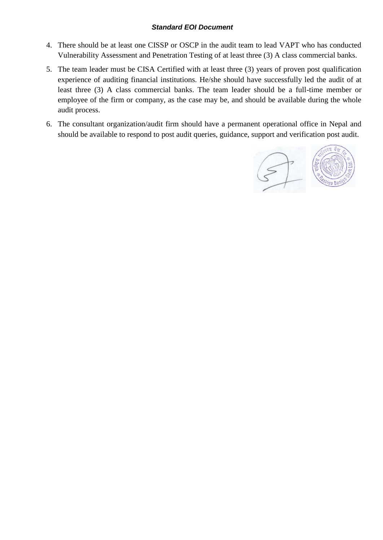- 4. There should be at least one CISSP or OSCP in the audit team to lead VAPT who has conducted Vulnerability Assessment and Penetration Testing of at least three (3) A class commercial banks.
- 5. The team leader must be CISA Certified with at least three (3) years of proven post qualification experience of auditing financial institutions. He/she should have successfully led the audit of at least three (3) A class commercial banks. The team leader should be a full-time member or employee of the firm or company, as the case may be, and should be available during the whole audit process.
- 6. The consultant organization/audit firm should have a permanent operational office in Nepal and should be available to respond to post audit queries, guidance, support and verification post audit.

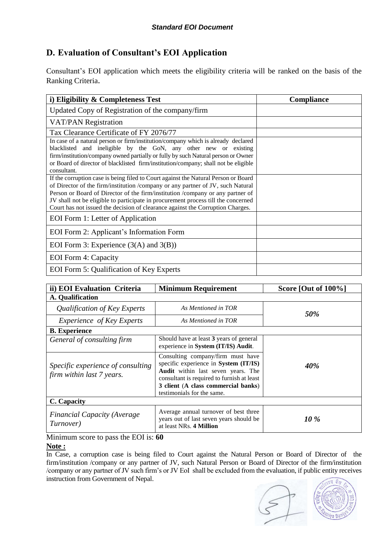## <span id="page-16-0"></span>**D. Evaluation of Consultant's EOI Application**

Consultant's EOI application which meets the eligibility criteria will be ranked on the basis of the Ranking Criteria.

| i) Eligibility & Completeness Test                                                  | <b>Compliance</b> |
|-------------------------------------------------------------------------------------|-------------------|
| Updated Copy of Registration of the company/firm                                    |                   |
| <b>VAT/PAN Registration</b>                                                         |                   |
| Tax Clearance Certificate of FY 2076/77                                             |                   |
| In case of a natural person or firm/institution/company which is already declared   |                   |
| blacklisted and ineligible by the GoN, any other new or existing                    |                   |
| firm/institution/company owned partially or fully by such Natural person or Owner   |                   |
| or Board of director of blacklisted firm/institution/company; shall not be eligible |                   |
| consultant.                                                                         |                   |
| If the corruption case is being filed to Court against the Natural Person or Board  |                   |
| of Director of the firm/institution /company or any partner of JV, such Natural     |                   |
| Person or Board of Director of the firm/institution /company or any partner of      |                   |
| JV shall not be eligible to participate in procurement process till the concerned   |                   |
| Court has not issued the decision of clearance against the Corruption Charges.      |                   |
| EOI Form 1: Letter of Application                                                   |                   |
| EOI Form 2: Applicant's Information Form                                            |                   |
| EOI Form 3: Experience $(3(A)$ and $3(B))$                                          |                   |
| EOI Form 4: Capacity                                                                |                   |
| <b>EOI</b> Form 5: Qualification of Key Experts                                     |                   |

| ii) EOI Evaluation Criteria                                    | <b>Minimum Requirement</b>                                                                                                                                                                                                          | Score [Out of 100%] |  |  |  |
|----------------------------------------------------------------|-------------------------------------------------------------------------------------------------------------------------------------------------------------------------------------------------------------------------------------|---------------------|--|--|--|
| A. Qualification                                               |                                                                                                                                                                                                                                     |                     |  |  |  |
| Qualification of Key Experts                                   | As Mentioned in TOR                                                                                                                                                                                                                 | 50%                 |  |  |  |
| <i>Experience of Key Experts</i>                               | As Mentioned in TOR                                                                                                                                                                                                                 |                     |  |  |  |
| <b>B.</b> Experience                                           |                                                                                                                                                                                                                                     |                     |  |  |  |
| General of consulting firm                                     | Should have at least 3 years of general<br>experience in System (IT/IS) Audit.                                                                                                                                                      | <b>40%</b>          |  |  |  |
| Specific experience of consulting<br>firm within last 7 years. | Consulting company/firm must have<br>specific experience in System (IT/IS)<br>Audit within last seven years. The<br>consultant is required to furnish at least<br>3 client (A class commercial banks)<br>testimonials for the same. |                     |  |  |  |
| C. Capacity                                                    |                                                                                                                                                                                                                                     |                     |  |  |  |
| <b>Financial Capacity (Average</b><br>Turnover)                | Average annual turnover of best three<br>years out of last seven years should be<br>at least NRs. 4 Million                                                                                                                         | 10 %                |  |  |  |

Minimum score to pass the EOI is: **60**

#### **Note :**

In Case, a corruption case is being filed to Court against the Natural Person or Board of Director of the firm/institution /company or any partner of JV, such Natural Person or Board of Director of the firm/institution /company or any partner of JV such firm's or JV EoI shall be excluded from the evaluation, if public entity receives instruction from Government of Nepal.

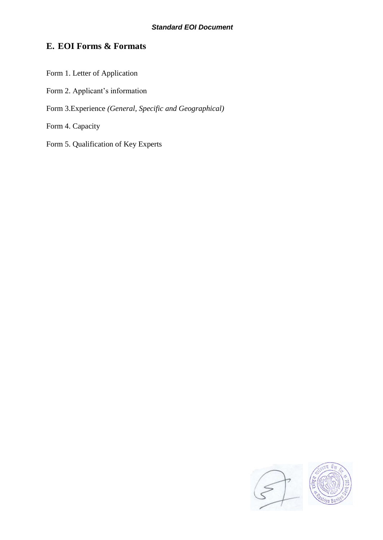## <span id="page-17-0"></span>**E. EOI Forms & Formats**

- Form 1. Letter of Application Form 2. Applicant's information Form 3.Experience *(General, Specific and Geographical)*  Form 4. Capacity
- Form 5. Qualification of Key Experts

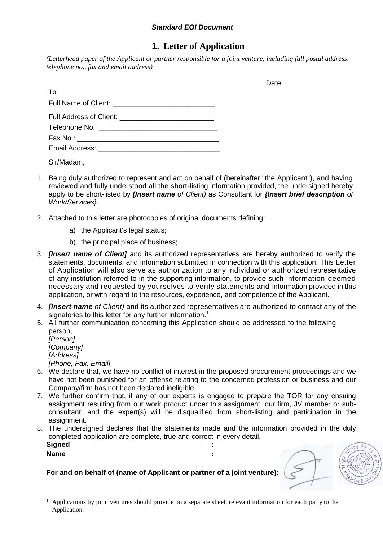## **1. Letter of Application**

<span id="page-18-0"></span>*(Letterhead paper of the Applicant or partner responsible for a joint venture, including full postal address, telephone no., fax and email address)*

Date:

| To,                                   |
|---------------------------------------|
|                                       |
|                                       |
|                                       |
| Fax No.: ____________________________ |
|                                       |
|                                       |

Sir/Madam,

- 1. Being duly authorized to represent and act on behalf of (hereinafter "the Applicant"), and having reviewed and fully understood all the short-listing information provided, the undersigned hereby apply to be short-listed by *[Insert name of Client)* as Consultant for *{Insert brief description of Work/Services}.*
- 2. Attached to this letter are photocopies of original documents defining:
	- a) the Applicant's legal status;
	- b) the principal place of business;
- 3. *[Insert name of Client]* and its authorized representatives are hereby authorized to verify the statements, documents, and information submitted in connection with this application. This Letter of Application will also serve as authorization to any individual or authorized representative of any institution referred to in the supporting information, to provide such information deemed necessary and requested by yourselves to verify statements and information provided in this application, or with regard to the resources, experience, and competence of the Applicant.
- 4. *[Insert name of Client)* and its authorized representatives are authorized to contact any of the signatories to this letter for any further information.<sup>1</sup>
- 5. All further communication concerning this Application should be addressed to the following person,
	- *[Person] [Company] [Address] [Phone, Fax, Email]*
- 6. We declare that, we have no conflict of interest in the proposed procurement proceedings and we have not been punished for an offense relating to the concerned profession or business and our Company/firm has not been declared ineligible.
- 7. We further confirm that, if any of our experts is engaged to prepare the TOR for any ensuing assignment resulting from our work product under this assignment, our firm, JV member or subconsultant, and the expert(s) will be disqualified from short-listing and participation in the assignment.
- 8. The undersigned declares that the statements made and the information provided in the duly completed application are complete, true and correct in every detail. **Signed :**

**Name :**

**For and on behalf of (name of Applicant or partner of a joint venture):**



<sup>1</sup> <sup>1</sup> Applications by joint ventures should provide on a separate sheet, relevant information for each party to the Application.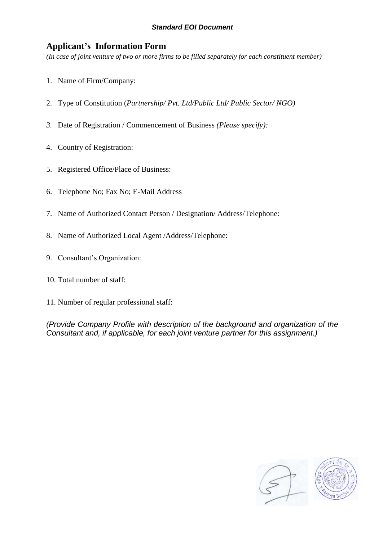## <span id="page-19-0"></span>**Applicant's Information Form**

*(In case of joint venture of two or more firms to be filled separately for each constituent member)*

- 1. Name of Firm/Company:
- 2. Type of Constitution (*Partnership/ Pvt. Ltd/Public Ltd/ Public Sector/ NGO)*
- *3.* Date of Registration / Commencement of Business *(Please specify):*
- 4. Country of Registration:
- 5. Registered Office/Place of Business:
- 6. Telephone No; Fax No; E-Mail Address
- 7. Name of Authorized Contact Person / Designation/ Address/Telephone:
- 8. Name of Authorized Local Agent /Address/Telephone:
- 9. Consultant's Organization:
- 10. Total number of staff:
- 11. Number of regular professional staff:

*(Provide Company Profile with description of the background and organization of the Consultant and, if applicable, for each joint venture partner for this assignment.)*

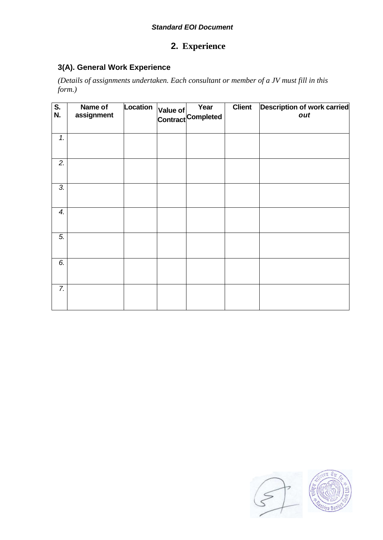## **2. Experience**

## <span id="page-20-0"></span>**3(A). General Work Experience**

*(Details of assignments undertaken. Each consultant or member of a JV must fill in this form.)*

| $\overline{\mathbf{S}}$ .<br>N. | Name of<br>assignment | Location | Year<br>Value of rear<br>Contract Completed | <b>Client</b> | <b>Description of work carried</b><br>out |
|---------------------------------|-----------------------|----------|---------------------------------------------|---------------|-------------------------------------------|
| 1.                              |                       |          |                                             |               |                                           |
| 2.                              |                       |          |                                             |               |                                           |
| 3.                              |                       |          |                                             |               |                                           |
| 4.                              |                       |          |                                             |               |                                           |
| $\overline{5}$ .                |                       |          |                                             |               |                                           |
| 6.                              |                       |          |                                             |               |                                           |
| 7.                              |                       |          |                                             |               |                                           |

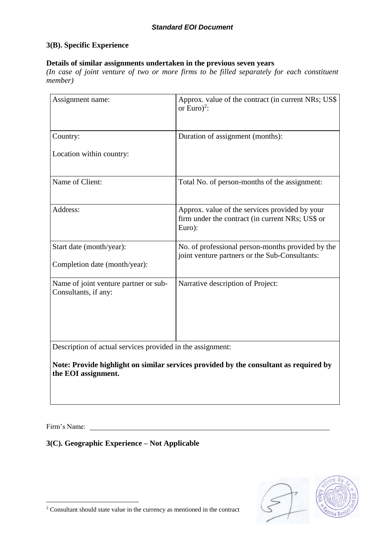#### **3(B). Specific Experience**

#### **Details of similar assignments undertaken in the previous seven years**

*(In case of joint venture of two or more firms to be filled separately for each constituent member)*

| Assignment name:                                                                                             | Approx. value of the contract (in current NRs; US\$<br>or Euro) <sup>2</sup> :                               |  |  |  |
|--------------------------------------------------------------------------------------------------------------|--------------------------------------------------------------------------------------------------------------|--|--|--|
| Country:                                                                                                     | Duration of assignment (months):                                                                             |  |  |  |
| Location within country:                                                                                     |                                                                                                              |  |  |  |
| Name of Client:                                                                                              | Total No. of person-months of the assignment:                                                                |  |  |  |
| Address:                                                                                                     | Approx. value of the services provided by your<br>firm under the contract (in current NRs; US\$ or<br>Euro): |  |  |  |
| Start date (month/year):                                                                                     | No. of professional person-months provided by the<br>joint venture partners or the Sub-Consultants:          |  |  |  |
| Completion date (month/year):                                                                                |                                                                                                              |  |  |  |
| Name of joint venture partner or sub-<br>Consultants, if any:                                                | Narrative description of Project:                                                                            |  |  |  |
| Description of actual services provided in the assignment:                                                   |                                                                                                              |  |  |  |
| Note: Provide highlight on similar services provided by the consultant as required by<br>the EOI assignment. |                                                                                                              |  |  |  |

Firm's Name:

<u>.</u>

**3(C). Geographic Experience – Not Applicable**



 $2$  Consultant should state value in the currency as mentioned in the contract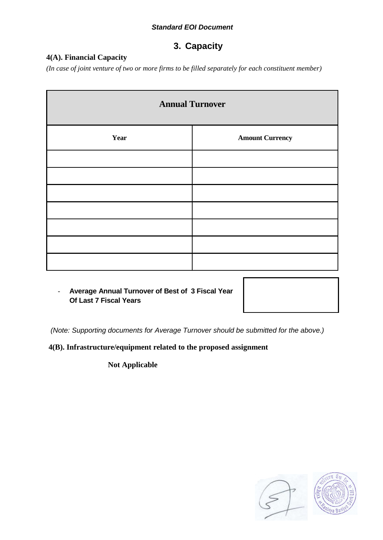## **3. Capacity**

## <span id="page-22-0"></span>**4(A). Financial Capacity**

*(In case of joint venture of two or more firms to be filled separately for each constituent member)*

| <b>Annual Turnover</b> |                        |  |  |  |
|------------------------|------------------------|--|--|--|
| Year                   | <b>Amount Currency</b> |  |  |  |
|                        |                        |  |  |  |
|                        |                        |  |  |  |
|                        |                        |  |  |  |
|                        |                        |  |  |  |
|                        |                        |  |  |  |
|                        |                        |  |  |  |
|                        |                        |  |  |  |

- **Average Annual Turnover of Best of 3 Fiscal Year Of Last 7 Fiscal Years**

*(Note: Supporting documents for Average Turnover should be submitted for the above.)*

**4(B). Infrastructure/equipment related to the proposed assignment**

 **Not Applicable**